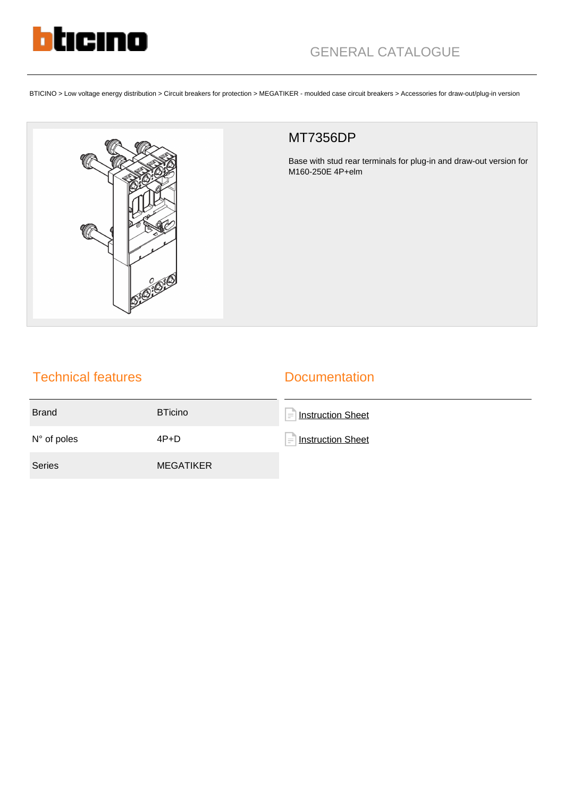

BTICINO > Low voltage energy distribution > Circuit breakers for protection > MEGATIKER - moulded case circuit breakers > Accessories for draw-out/plug-in version



## MT7356DP

Base with stud rear terminals for plug-in and draw-out version for M160-250E 4P+elm

## Technical features

## **Documentation**

| <b>Brand</b>         | <b>BTicino</b>   | <b>Instruction Sheet</b> |
|----------------------|------------------|--------------------------|
| $N^{\circ}$ of poles | $4P+D$           | Instruction Sheet        |
| <b>Series</b>        | <b>MEGATIKER</b> |                          |